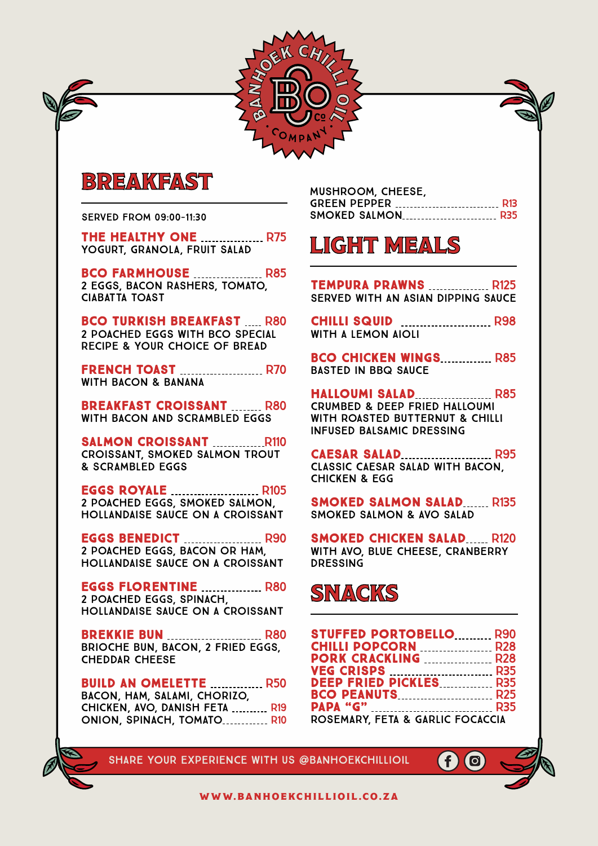

# BREAKFAST

served from 09:00-11:30

THE HEALTHY ONE **MALLE 1975** yogurt, granola, fruit salad

**BCO FARMHOUSE MANUAL R85** 2 eggs, bacon RASHERS, tomato, ciabatta toast

**BCO TURKISH BREAKFAST R80** 2 poached eggs with BCO special recipe & your choice of bread

**FRENCH TOAST MANUAL R70** with bacon & BANANA

**BREAKFAST CROISSANT R80** with bacon and scrambled eggs

SALMON CROISSANT R110 croissant, SMOKED SALMON TROUT & scrambled eggs

**EGGS ROYALE MANUAL R105** 2 POACHED EGGS, SMOKED SALMON, HOLLANDAISE SAUCE ON A CROISSANT

**EGGS BENEDICT MANUFACTLE R90** 2 POACHED EGGS, BACON OR HAM, HOLLANDAISE SAUCE ON A CROISSANT

**EGGS FLORENTINE MELLET R80** 2 POACHED EGGS, SPINACH, HOLLANDAISE SAUCE ON A CROISSANT

**BREKKIE BUN MELLET BREKKIE BUN REGALER BREKKIE BUN REGALER BREKKIE** BRIOCHE BUN, BACON, 2 FRIED EGGS, CHEDDAR CHEESE

**BUILD AN OMELETTE ............... R50** bacon, ham, salami, chorizo, CHICKEN, AVO, DANISH FETA .......... R19 ONION, SPINACH, TOMATO............. R10 MUSHROOM, cheese, green pepper R13 SMOKED SALMON R35

# LIGHT MEALS

**TEMPURA PRAWNS ................ R125** SERVED WITH AN ASIAN DIPPING SAUCE

**CHILLI SQUID MANUAL R98** WITH A LEMON AIOLI

BCO CHICKEN WINGS R85 BASTED IN BBQ SAUCE

**HALLOUMI SALAD RESTAINING R85** CRUMBED & DEEP FRIED HALLOUMI with ROASTED BUTTERNUT & CHILLI INFUSED BALSAMIC DRESSING

**CAESAR SALAD** R95 CLASSIC CAESAR SALAD WITH BACON, CHICKEN & EGG

**SMOKED SALMON SALAD...... R135** SMOKED SALMON & AVO SALAD

**SMOKED CHICKEN SALAD..... R120** with AVO, BLUE CHEESE, CRANBERRY DRESSING

# **SNACKS**

| <b>STUFFED PORTOBELLO R90</b>    |  |
|----------------------------------|--|
| <b>CHILLI POPCORN  R28</b>       |  |
| <b>PORK CRACKLING MARGE R28</b>  |  |
|                                  |  |
| DEEP FRIED PICKLES R35           |  |
| <b>BCO PEANUTS R25</b>           |  |
|                                  |  |
| ROSEMARY, FETA & GARLIC FOCACCIA |  |

Ð

SHARE your experience with us @Banhoekchillioil

www.banhoekchillioil.co.za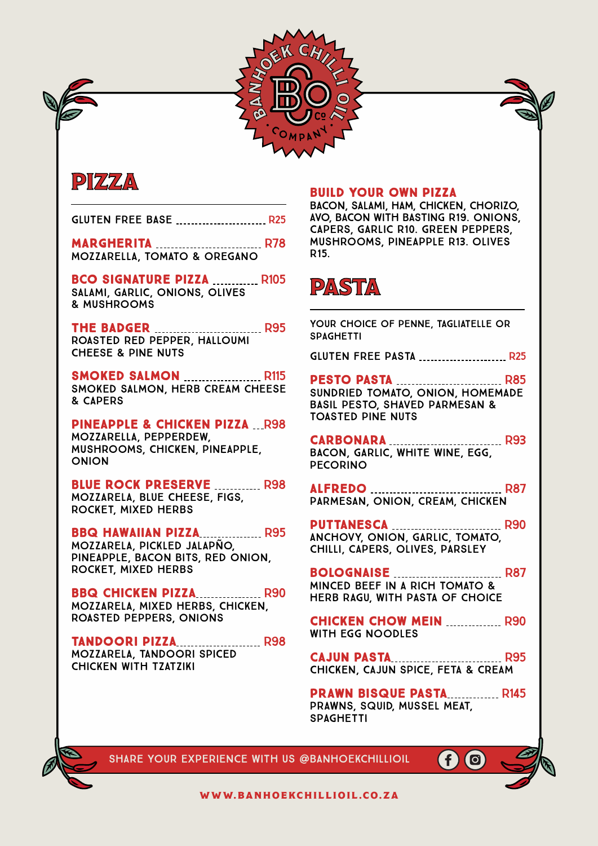



GLUTEN FREE BASE ................................. R25

**MARGHERITA MARGHERITA R78** Mozzarella, tomato & oregano

BCO SIGNATURE PIZZA ............. R105 SALAMI, GARLIC, ONIONS, OLIVES

& MUSHROOMS

**THE BADGER R95** ROASTED RED PEPPER, HALlOUMI CHEESE & PINE NUTS

smoked salmon R115 smoked salmon, herb cream cheese & capers

Pineapple & chicken Pizza R98 MOZZARELLA, PEPPERDEW, MUSHROOMS, CHICKEN, PINEAPPLE, ONION

BLUE ROCK PRESERVE ............ R98 Mozzarela, Blue Cheese, Figs, Rocket, Mixed Herbs

## **BBQ HAWAIIAN PIZZA................. R95**

Mozzarela, Pickled Jalapño, Pineapple, Bacon Bits, Red Onion, Rocket, Mixed Herbs

**BBQ CHICKEN PIZZA .................. R90** Mozzarela, Mixed Herbs, Chicken, Roasted Peppers, Onions

TANDOORI PIZZA R98 Mozzarela, TANDOORI SPICED Chicken WITH TZATZIKI

## build your own PIZZA

bacon, salami, ham, chicken, chorizo, AVO, BACON WITH BASTING R19. onions, capers, garlic r10. green peppers, mushrooms, pineapple r13. olives r15.



your choice of penne, tagliatelle or **SPAGHETTI** 

**GLUTEN FREE PASTA ......................... R25** 

Pesto PAsta R85 Sundried tomato, onion, homemade basil pesto, shaved parmesan & toasted pine nuts

carbonara R93 bacon, garlic, white wine, egg, pecorino

alfredo R87 parmesan, onion, cream, chicken

PUTTANESCA ................................. R90 anchovy, onion, garlic, tomato, chilli, capers, olives, parsley

**BOLOGNAISE** R87 minced beef in a rich tomato & herb ragu, with pasta of choice

CHICKEN CHOW MEIN **MEIN** R90 with egg noodles

CAJUN PASTA R95 CHICKEN, CAJUN SPICE, FETA & CREAM

PRAWN BISQUE PASTA R145 Prawns, Squid, Mussel MEAT, **SPAGHETTI** 

 $\left( f\right)$ 

**io** 



SHARE your experience with us @Banhoekchillioil

www.banhoekchillioil.co.za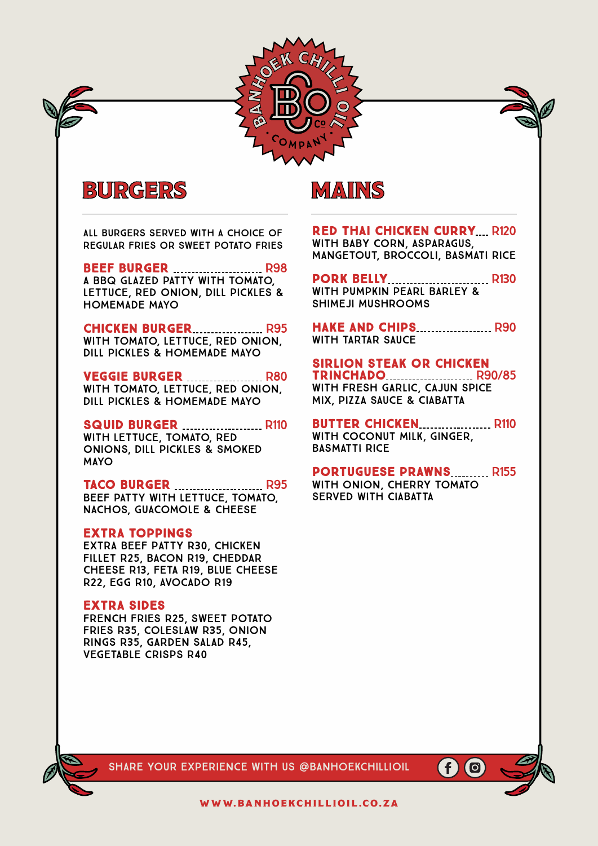

# BURGERS MAINS

All burgers served with a choice of Regular fries or Sweet Potato Fries

### **BEEF BURGER MANUAL REPARTMENT R98**

a BBQ Glazed Patty with Tomato, Lettuce, Red Onion, Dill Pickles & HOMEMADE MAYO

### **CHICKEN BURGER.................... R95**

with tomato, lettuce, Red Onion, Dill Pickles & HOMEMADE MAYO

## **VEGGIE BURGER MELLET REPAIRS**

with tomato, lettuce, Red Onion, Dill Pickles & HOMEMADE MAYO

#### SQUID BURGER ....................... R110

with Lettuce, Tomato, Red Onions, Dill Pickles & SMOKED MAYO

## TACO BURGER **MALLE 1995**

BEEF PATTY with Lettuce, Tomato, NACHOS, GUACOMOLE & CHEESE

#### Extra toppings

Extra Beef patty R30, chicken fillet R25, Bacon R19, cheddar Cheese R13, feta r19, blue cheese r22, Egg R10, Avocado R19

### Extra sides

French fries R25, sweet potato fries R35, coleslaw R35, Onion Rings R35, garden salad R45, vegetable crisps r40

**RED THAI CHICKEN CURRY... R120** with Baby Corn, Asparagus, MANGETOUT, BROCcolI, Basmati Rice

### PORK BELLY............................... R130 with PUMPKIN PEARL BARLEY &

SHIMEJI MUSHROOMS HAKE AND CHIPS..................... R90

WITH TARTAR SAUCE

### Sirlion steak or Chicken

TRINCHADO ........................ R90/85 with Fresh Garlic, Cajun Spice Mix, Pizza Sauce & CIABATTA

**BUTTER CHICKEN................... R110** WITH COCONUT MILK, GINGER. Basmatti Rice

PORTUGUESE PRAWNS.......... R155 with Onion, Cherry Tomato served With Ciabatta

SHARE your experience with us @Banhoekchillioil

IO

www.banhoekchillioil.co.za